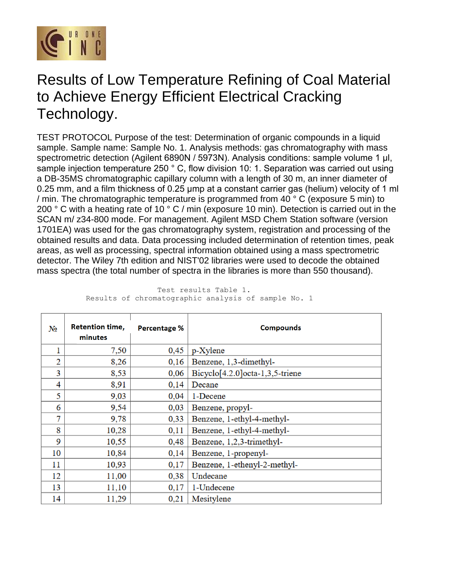

## Results of Low Temperature Refining of Coal Material to Achieve Energy Efficient Electrical Cracking Technology.

TEST PROTOCOL Purpose of the test: Determination of organic compounds in a liquid sample. Sample name: Sample No. 1. Analysis methods: gas chromatography with mass spectrometric detection (Agilent 6890N / 5973N). Analysis conditions: sample volume 1 μl, sample injection temperature 250 ° C, flow division 10: 1. Separation was carried out using a DB-35MS chromatographic capillary column with a length of 30 m, an inner diameter of 0.25 mm, and a film thickness of 0.25 μmp at a constant carrier gas (helium) velocity of 1 ml / min. The chromatographic temperature is programmed from 40 ° C (exposure 5 min) to 200  $\degree$  C with a heating rate of 10  $\degree$  C / min (exposure 10 min). Detection is carried out in the SCAN m/ z34-800 mode. For management. Agilent MSD Chem Station software (version 1701EA) was used for the gas chromatography system, registration and processing of the obtained results and data. Data processing included determination of retention times, peak areas, as well as processing, spectral information obtained using a mass spectrometric detector. The Wiley 7th edition and NIST'02 libraries were used to decode the obtained mass spectra (the total number of spectra in the libraries is more than 550 thousand).

| N <sub>2</sub> | <b>Retention time,</b><br>minutes | <b>Percentage %</b> | <b>Compounds</b>                |
|----------------|-----------------------------------|---------------------|---------------------------------|
|                | 7,50                              | 0,45                | p-Xylene                        |
| 2              | 8,26                              | 0,16                | Benzene, 1,3-dimethyl-          |
| 3              | 8,53                              | 0,06                | Bicyclo[4.2.0]octa-1,3,5-triene |
| 4              | 8,91                              | 0,14                | Decane                          |
| 5              | 9,03                              | 0,04                | 1-Decene                        |
| 6              | 9,54                              | 0,03                | Benzene, propyl-                |
| 7              | 9,78                              | 0,33                | Benzene, 1-ethyl-4-methyl-      |
| 8              | 10,28                             | 0,11                | Benzene, 1-ethyl-4-methyl-      |
| 9              | 10,55                             | 0,48                | Benzene, 1,2,3-trimethyl-       |
| 10             | 10,84                             | 0,14                | Benzene, 1-propenyl-            |
| 11             | 10,93                             | 0,17                | Benzene, 1-ethenyl-2-methyl-    |
| 12             | 11,00                             | 0,38                | Undecane                        |
| 13             | 11,10                             | 0,17                | 1-Undecene                      |
| 14             | 11,29                             | 0,21                | Mesitylene                      |

 Test results Table 1. Results of chromatographic analysis of sample No. 1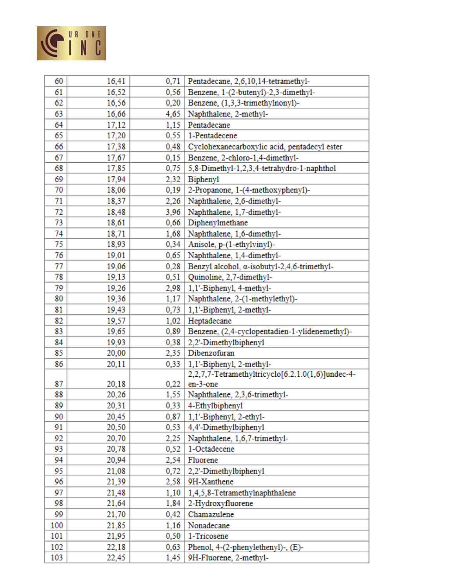

| 60  | 16,41 | 0,71 | Pentadecane, 2,6,10,14-tetramethyl-               |
|-----|-------|------|---------------------------------------------------|
| 61  | 16,52 | 0,56 | Benzene, 1-(2-butenyl)-2,3-dimethyl-              |
| 62  | 16,56 | 0,20 | Benzene, (1,3,3-trimethylnonyl)-                  |
| 63  | 16,66 | 4,65 | Naphthalene, 2-methyl-                            |
| 64  | 17,12 | 1,15 | Pentadecane                                       |
| 65  | 17,20 | 0,55 | 1-Pentadecene                                     |
| 66  | 17,38 | 0,48 | Cyclohexanecarboxylic acid, pentadecyl ester      |
| 67  | 17,67 | 0,15 | Benzene, 2-chloro-1,4-dimethyl-                   |
| 68  | 17,85 | 0,75 | 5,8-Dimethyl-1,2,3,4-tetrahydro-1-naphthol        |
| 69  | 17,94 | 2,32 | <b>Biphenyl</b>                                   |
| 70  | 18,06 | 0,19 | 2-Propanone, 1-(4-methoxyphenyl)-                 |
| 71  | 18,37 | 2,26 | Naphthalene, 2,6-dimethyl-                        |
| 72  | 18,48 | 3,96 | Naphthalene, 1,7-dimethyl-                        |
| 73  | 18,61 | 0,66 | Diphenylmethane                                   |
| 74  | 18,71 | 1,68 | Naphthalene, 1,6-dimethyl-                        |
| 75  | 18,93 | 0,34 | Anisole, p-(1-ethylvinyl)-                        |
| 76  | 19,01 | 0,65 | Naphthalene, 1,4-dimethyl-                        |
| 77  | 19,06 | 0,28 | Benzyl alcohol, a-isobutyl-2,4,6-trimethyl-       |
| 78  | 19,13 | 0,51 | Quinoline, 2,7-dimethyl-                          |
| 79  | 19,26 | 2,98 | 1,1'-Biphenyl, 4-methyl-                          |
| 80  | 19,36 | 1,17 | Naphthalene, 2-(1-methylethyl)-                   |
| 81  | 19,43 | 0,73 | 1,1'-Biphenyl, 2-methyl-                          |
| 82  | 19,57 | 1,02 | Heptadecane                                       |
| 83  | 19,65 | 0,89 | Benzene, (2,4-cyclopentadien-1-ylidenemethyl)-    |
| 84  | 19,93 | 0,38 | 2,2'-Dimethylbiphenyl                             |
| 85  | 20,00 | 2,35 | Dibenzofuran                                      |
| 86  | 20,11 | 0,33 | 1,1'-Biphenyl, 2-methyl-                          |
|     |       |      | 2,2,7,7-Tetramethyltricyclo[6.2.1.0(1,6)]undec-4- |
| 87  | 20,18 | 0,22 | en-3-one                                          |
| 88  | 20,26 | 1,55 | Naphthalene, 2,3,6-trimethyl-                     |
| 89  | 20,31 | 0,33 | 4-Ethylbiphenyl                                   |
| 90  | 20,45 |      | $0,87$   1,1'-Biphenyl, 2-ethyl-                  |
| 91  | 20,50 |      | $0,53$   4,4'-Dimethylbiphenyl                    |
| 92  | 20,70 |      | 2,25   Naphthalene, 1,6,7-trimethyl-              |
| 93  | 20,78 | 0,52 | 1-Octadecene                                      |
| 94  | 20,94 |      | $2,54$ Fluorene                                   |
| 95  | 21,08 | 0,72 | 2,2'-Dimethylbiphenyl                             |
| 96  | 21,39 | 2,58 | 9H-Xanthene                                       |
| 97  | 21,48 | 1,10 | 1,4,5,8-Tetramethylnaphthalene                    |
| 98  | 21,64 | 1,84 | 2-Hydroxyfluorene                                 |
| 99  | 21,70 | 0,42 | Chamazulene                                       |
| 100 | 21,85 | 1,16 | Nonadecane                                        |
| 101 | 21,95 |      | 0,50   1-Tricosene                                |
| 102 | 22,18 | 0,63 | Phenol, 4-(2-phenylethenyl)-, (E)-                |
| 103 | 22,45 | 1,45 | 9H-Fluorene, 2-methyl-                            |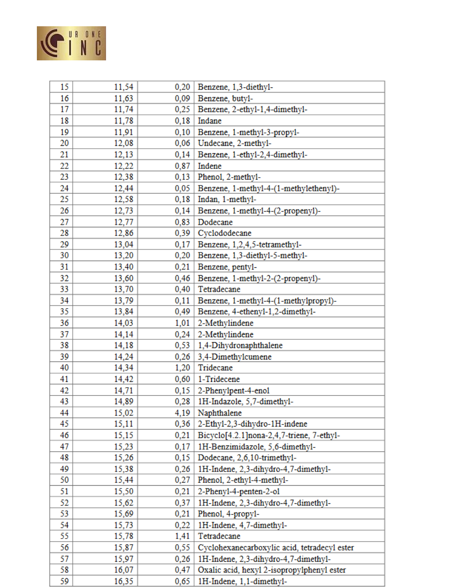

| 15  | 11,54 | 0,20 | Benzene, 1,3-diethyl-                        |
|-----|-------|------|----------------------------------------------|
| 16  | 11,63 | 0,09 | Benzene, butyl-                              |
| 17  | 11,74 | 0,25 | Benzene, 2-ethyl-1,4-dimethyl-               |
| 18  | 11,78 | 0,18 | Indane                                       |
| 19  | 11,91 | 0,10 | Benzene, 1-methyl-3-propyl-                  |
| 20  | 12,08 | 0,06 | Undecane, 2-methyl-                          |
| 21  | 12,13 | 0,14 | Benzene, 1-ethyl-2,4-dimethyl-               |
| 22  | 12,22 | 0,87 | Indene                                       |
| 23  | 12,38 | 0,13 | Phenol, 2-methyl-                            |
| 24  | 12,44 | 0,05 | Benzene, 1-methyl-4-(1-methylethenyl)-       |
| 25  | 12,58 | 0,18 | Indan, 1-methyl-                             |
| 26  | 12,73 | 0,14 | Benzene, 1-methyl-4-(2-propenyl)-            |
| 27  | 12,77 | 0,83 | Dodecane                                     |
| 28  | 12,86 | 0,39 | Cyclododecane                                |
| 29  | 13,04 | 0,17 | Benzene, 1,2,4,5-tetramethyl-                |
| 30  | 13,20 | 0,20 | Benzene, 1,3-diethyl-5-methyl-               |
| 31  | 13,40 | 0,21 | Benzene, pentyl-                             |
| 32  | 13,60 | 0,46 | Benzene, 1-methyl-2-(2-propenyl)-            |
| 33  | 13,70 | 0,40 | Tetradecane                                  |
| 34  | 13,79 | 0,11 | Benzene, 1-methyl-4-(1-methylpropyl)-        |
| 35  | 13,84 | 0,49 | Benzene, 4-ethenyl-1,2-dimethyl-             |
| 36  | 14,03 | 1,01 | 2-Methylindene                               |
| 37  | 14,14 | 0,24 | 2-Methylindene                               |
| 38  | 14,18 | 0,53 | 1,4-Dihydronaphthalene                       |
| 39  | 14,24 | 0,26 | 3,4-Dimethylcumene                           |
| 40  | 14,34 | 1,20 | Tridecane                                    |
| 41  | 14,42 | 0,60 | 1-Tridecene                                  |
| 42  | 14,71 | 0,15 | 2-Phenylpent-4-enol                          |
| 43  | 14,89 | 0,28 | 1H-Indazole, 5,7-dimethyl-                   |
| 44  | 15,02 |      | $4,19$ Naphthalene                           |
| 45  | 15,11 | 0,36 | 2-Ethyl-2,3-dihydro-1H-indene                |
| 46  | 15,15 | 0,21 | Bicyclo[4.2.1]nona-2,4,7-triene, 7-ethyl-    |
| 47  | 15,23 | 0,17 | 1H-Benzimidazole, 5,6-dimethyl-              |
| 48  | 15,26 | 0,15 | Dodecane, 2,6,10-trimethyl-                  |
| 49  | 15,38 | 0,26 | 1H-Indene, 2,3-dihydro-4,7-dimethyl-         |
| 50  | 15,44 | 0,27 | Phenol, 2-ethyl-4-methyl-                    |
| 51  | 15,50 | 0,21 | 2-Phenyl-4-penten-2-ol                       |
| 52  | 15,62 | 0,37 | 1H-Indene, 2,3-dihydro-4,7-dimethyl-         |
| 53  | 15,69 | 0,21 | Phenol, 4-propyl-                            |
| 54  | 15,73 | 0,22 | 1H-Indene, 4,7-dimethyl-                     |
| 55. | 15,78 | 1,41 | Tetradecane                                  |
| 56  | 15,87 | 0,55 | Cyclohexanecarboxylic acid, tetradecyl ester |
| 57  | 15,97 | 0,26 | 1H-Indene, 2,3-dihydro-4,7-dimethyl-         |
| 58  | 16,07 | 0,47 | Oxalic acid, hexyl 2-isopropylphenyl ester   |
| 59  | 16,35 | 0,65 | 1H-Indene, 1,1-dimethyl-                     |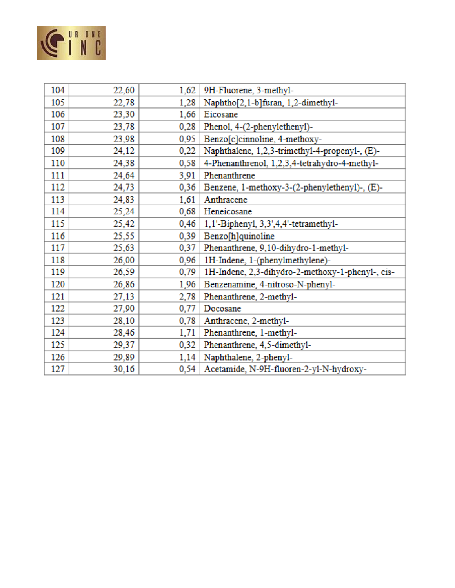

| 104 | 22,60 | 1,62 | 9H-Fluorene, 3-methyl-                           |
|-----|-------|------|--------------------------------------------------|
| 105 | 22,78 | 1,28 | Naphtho <sup>[2,1-b]furan, 1,2-dimethyl-</sup>   |
| 106 | 23,30 | 1,66 | Eicosane                                         |
| 107 | 23,78 | 0,28 | Phenol, 4-(2-phenylethenyl)-                     |
| 108 | 23,98 | 0,95 | Benzo[c]cinnoline, 4-methoxy-                    |
| 109 | 24,12 | 0,22 | Naphthalene, 1,2,3-trimethyl-4-propenyl-, (E)-   |
| 110 | 24,38 | 0,58 | 4-Phenanthrenol, 1,2,3,4-tetrahydro-4-methyl-    |
| 111 | 24,64 | 3,91 | Phenanthrene                                     |
| 112 | 24,73 | 0,36 | Benzene, 1-methoxy-3-(2-phenylethenyl)-, (E)-    |
| 113 | 24,83 | 1,61 | Anthracene                                       |
| 114 | 25,24 | 0,68 | Heneicosane                                      |
| 115 | 25,42 | 0,46 | 1,1'-Biphenyl, 3,3',4,4'-tetramethyl-            |
| 116 | 25,55 | 0,39 | Benzo[h]quinoline                                |
| 117 | 25,63 | 0,37 | Phenanthrene, 9,10-dihydro-1-methyl-             |
| 118 | 26,00 | 0,96 | 1H-Indene, 1-(phenylmethylene)-                  |
| 119 | 26,59 | 0,79 | 1H-Indene, 2,3-dihydro-2-methoxy-1-phenyl-, cis- |
| 120 | 26,86 | 1,96 | Benzenamine, 4-nitroso-N-phenyl-                 |
| 121 | 27,13 | 2,78 | Phenanthrene, 2-methyl-                          |
| 122 | 27,90 | 0,77 | Docosane                                         |
| 123 | 28,10 | 0,78 | Anthracene, 2-methyl-                            |
| 124 | 28,46 | 1,71 | Phenanthrene, 1-methyl-                          |
| 125 | 29,37 | 0,32 | Phenanthrene, 4,5-dimethyl-                      |
| 126 | 29,89 | 1,14 | Naphthalene, 2-phenyl-                           |
| 127 | 30,16 | 0,54 | Acetamide, N-9H-fluoren-2-yl-N-hydroxy-          |